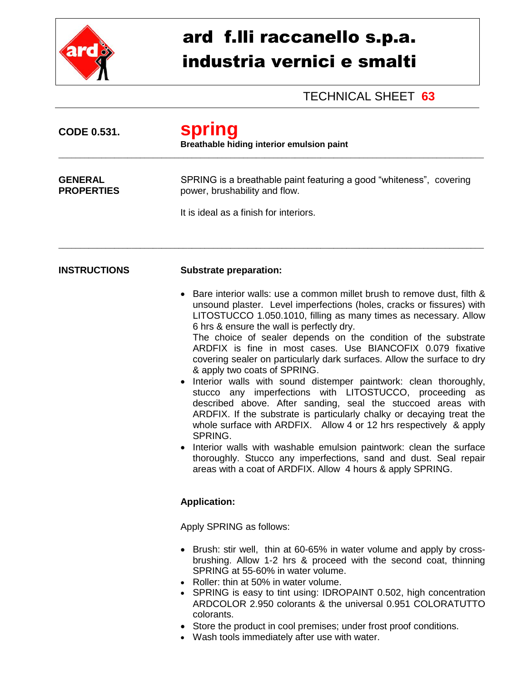

## ard f.lli raccanello s.p.a. industria vernici e smalti

TECHNICAL SHEET **63**

| <b>CODE 0.531.</b>                  | <b>spring</b><br>Breathable hiding interior emulsion paint                                                                                                                                                                                                                                                                                                                                                                                                                                                                                                                                                                                                                                                                                                                                                                                                                                                                                                                                                                                                                    |  |  |
|-------------------------------------|-------------------------------------------------------------------------------------------------------------------------------------------------------------------------------------------------------------------------------------------------------------------------------------------------------------------------------------------------------------------------------------------------------------------------------------------------------------------------------------------------------------------------------------------------------------------------------------------------------------------------------------------------------------------------------------------------------------------------------------------------------------------------------------------------------------------------------------------------------------------------------------------------------------------------------------------------------------------------------------------------------------------------------------------------------------------------------|--|--|
| <b>GENERAL</b><br><b>PROPERTIES</b> | SPRING is a breathable paint featuring a good "whiteness", covering<br>power, brushability and flow.                                                                                                                                                                                                                                                                                                                                                                                                                                                                                                                                                                                                                                                                                                                                                                                                                                                                                                                                                                          |  |  |
|                                     | It is ideal as a finish for interiors.                                                                                                                                                                                                                                                                                                                                                                                                                                                                                                                                                                                                                                                                                                                                                                                                                                                                                                                                                                                                                                        |  |  |
| <b>INSTRUCTIONS</b>                 | <b>Substrate preparation:</b>                                                                                                                                                                                                                                                                                                                                                                                                                                                                                                                                                                                                                                                                                                                                                                                                                                                                                                                                                                                                                                                 |  |  |
|                                     | Bare interior walls: use a common millet brush to remove dust, filth &<br>unsound plaster. Level imperfections (holes, cracks or fissures) with<br>LITOSTUCCO 1.050.1010, filling as many times as necessary. Allow<br>6 hrs & ensure the wall is perfectly dry.<br>The choice of sealer depends on the condition of the substrate<br>ARDFIX is fine in most cases. Use BIANCOFIX 0.079 fixative<br>covering sealer on particularly dark surfaces. Allow the surface to dry<br>& apply two coats of SPRING.<br>Interior walls with sound distemper paintwork: clean thoroughly,<br>stucco any imperfections with LITOSTUCCO, proceeding as<br>described above. After sanding, seal the stuccoed areas with<br>ARDFIX. If the substrate is particularly chalky or decaying treat the<br>whole surface with ARDFIX. Allow 4 or 12 hrs respectively & apply<br>SPRING.<br>• Interior walls with washable emulsion paintwork: clean the surface<br>thoroughly. Stucco any imperfections, sand and dust. Seal repair<br>areas with a coat of ARDFIX. Allow 4 hours & apply SPRING. |  |  |
|                                     | <b>Application:</b>                                                                                                                                                                                                                                                                                                                                                                                                                                                                                                                                                                                                                                                                                                                                                                                                                                                                                                                                                                                                                                                           |  |  |
|                                     | Apply SPRING as follows:                                                                                                                                                                                                                                                                                                                                                                                                                                                                                                                                                                                                                                                                                                                                                                                                                                                                                                                                                                                                                                                      |  |  |
|                                     | • Brush: stir well, thin at 60-65% in water volume and apply by cross-<br>brushing. Allow 1-2 hrs & proceed with the second coat, thinning<br>SPRING at 55-60% in water volume.<br>Roller: thin at 50% in water volume.<br>• SPRING is easy to tint using: IDROPAINT 0.502, high concentration                                                                                                                                                                                                                                                                                                                                                                                                                                                                                                                                                                                                                                                                                                                                                                                |  |  |
|                                     | ARDCOLOR 2.950 colorants & the universal 0.951 COLORATUTTO<br>colorants.<br>Store the product in cool premises; under frost proof conditions.                                                                                                                                                                                                                                                                                                                                                                                                                                                                                                                                                                                                                                                                                                                                                                                                                                                                                                                                 |  |  |

Wash tools immediately after use with water.